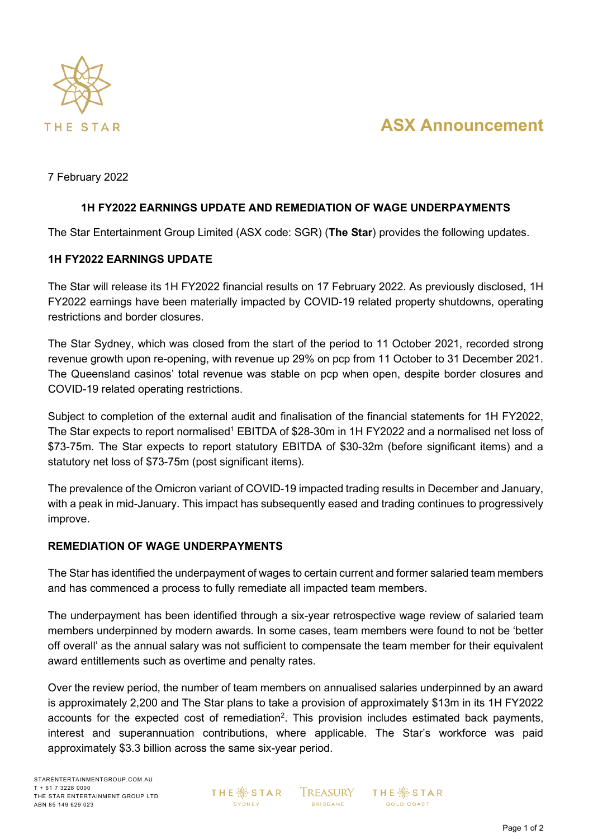

# **ASX Announcement**

7 February 2022

# **1H FY2022 EARNINGS UPDATE AND REMEDIATION OF WAGE UNDERPAYMENTS**

The Star Entertainment Group Limited (ASX code: SGR) (**The Star**) provides the following updates.

## **1H FY2022 EARNINGS UPDATE**

The Star will release its 1H FY2022 financial results on 17 February 2022. As previously disclosed, 1H FY2022 earnings have been materially impacted by COVID-19 related property shutdowns, operating restrictions and border closures.

The Star Sydney, which was closed from the start of the period to 11 October 2021, recorded strong revenue growth upon re-opening, with revenue up 29% on pcp from 11 October to 31 December 2021. The Queensland casinos' total revenue was stable on pcp when open, despite border closures and COVID-19 related operating restrictions.

Subject to completion of the external audit and finalisation of the financial statements for 1H FY2022, The Star expects to report normalised<sup>1</sup> EBITDA of \$28-30m in 1H FY2022 and a normalised net loss of \$73-75m. The Star expects to report statutory EBITDA of \$30-32m (before significant items) and a statutory net loss of \$73-75m (post significant items).

The prevalence of the Omicron variant of COVID-19 impacted trading results in December and January, with a peak in mid-January. This impact has subsequently eased and trading continues to progressively improve.

## **REMEDIATION OF WAGE UNDERPAYMENTS**

The Star has identified the underpayment of wages to certain current and former salaried team members and has commenced a process to fully remediate all impacted team members.

The underpayment has been identified through a six-year retrospective wage review of salaried team members underpinned by modern awards. In some cases, team members were found to not be 'better off overall' as the annual salary was not sufficient to compensate the team member for their equivalent award entitlements such as overtime and penalty rates.

Over the review period, the number of team members on annualised salaries underpinned by an award is approximately 2,200 and The Star plans to take a provision of approximately \$13m in its 1H FY2022 accounts for the expected cost of remediation<sup>2</sup>. This provision includes estimated back payments, interest and superannuation contributions, where applicable. The Star's workforce was paid approximately \$3.3 billion across the same six-year period.

**THE ※ STAR** SYDNEY

**TREASURY BRISBANE** 

**THE ※STAR GOLD COAST**